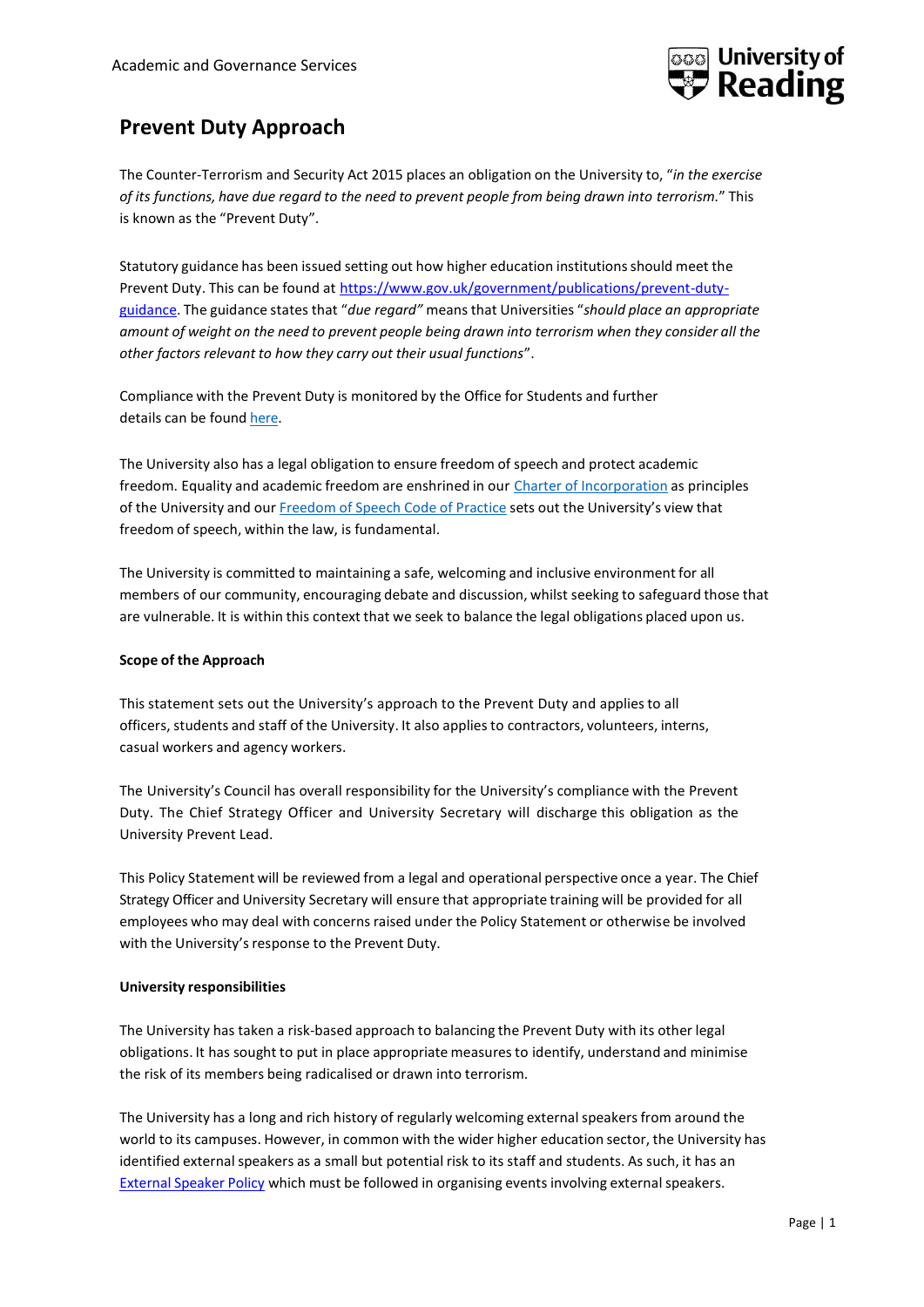

## **Prevent Duty Approach**

The Counter-Terrorism and Security Act 2015 places an obligation on the University to, "*in the exercise of its functions, have due regard to the need to prevent people from being drawn into terrorism.*" This is known as the "Prevent Duty".

Statutory guidance has been issued setting out how higher education institutions should meet the Prevent Duty. This can be found at [https://www.gov.uk/government/publications/prevent-duty](https://www.gov.uk/government/publications/prevent-duty-guidance)[guidance.](https://www.gov.uk/government/publications/prevent-duty-guidance) The guidance states that "*due regard"* means that Universities "*should place an appropriate amount of weight on the need to prevent people being drawn into terrorism when they consider all the other factors relevant to how they carry out their usual functions*".

Compliance with the Prevent Duty is monitored by the Office for Students and further details can be found [here.](https://www.officeforstudents.org.uk/advice-and-guidance/regulation/counter-terrorism-the-prevent-duty/)

The University also has a legal obligation to ensure freedom of speech and protect academic freedom. Equality and academic freedom are enshrined in our Charter of [Incorporation](http://www.reading.ac.uk/web/files/GovernanceZone/University_Charter.pdf) as principles of the University and our [Freedom](http://www.reading.ac.uk/web/files/GovernanceZone/Freedom_of_Speech_code_of_practice.pdf) of Speech Code of Practice sets out the University's view that freedom of speech, within the law, is fundamental.

The University is committed to maintaining a safe, welcoming and inclusive environment for all members of our community, encouraging debate and discussion, whilst seeking to safeguard those that are vulnerable. It is within this context that we seek to balance the legal obligations placed upon us.

## **Scope of the Approach**

This statement sets out the University's approach to the Prevent Duty and applies to all officers, students and staff of the University. It also applies to contractors, volunteers, interns, casual workers and agency workers.

The University's Council has overall responsibility for the University's compliance with the Prevent Duty. The Chief Strategy Officer and University Secretary will discharge this obligation as the University Prevent Lead.

This Policy Statement will be reviewed from a legal and operational perspective once a year. The Chief Strategy Officer and University Secretary will ensure that appropriate training will be provided for all employees who may deal with concernsraised under the Policy Statement or otherwise be involved with the University's response to the Prevent Duty.

## **University responsibilities**

The University has taken a risk-based approach to balancing the Prevent Duty with its other legal obligations. It has sought to put in place appropriate measuresto identify, understand and minimise the risk of its members being radicalised or drawn into terrorism.

The University has a long and rich history of regularly welcoming external speakers from around the world to its campuses. However, in common with the wider higher education sector, the University has identified external speakers as a small but potential risk to its staff and students. As such, it has an [External](http://www.reading.ac.uk/internal/staffportal/policies-processes/external-speakers/sp-external-speaker-policy.aspx) Speaker Policy which must be followed in organising events involving external speakers.